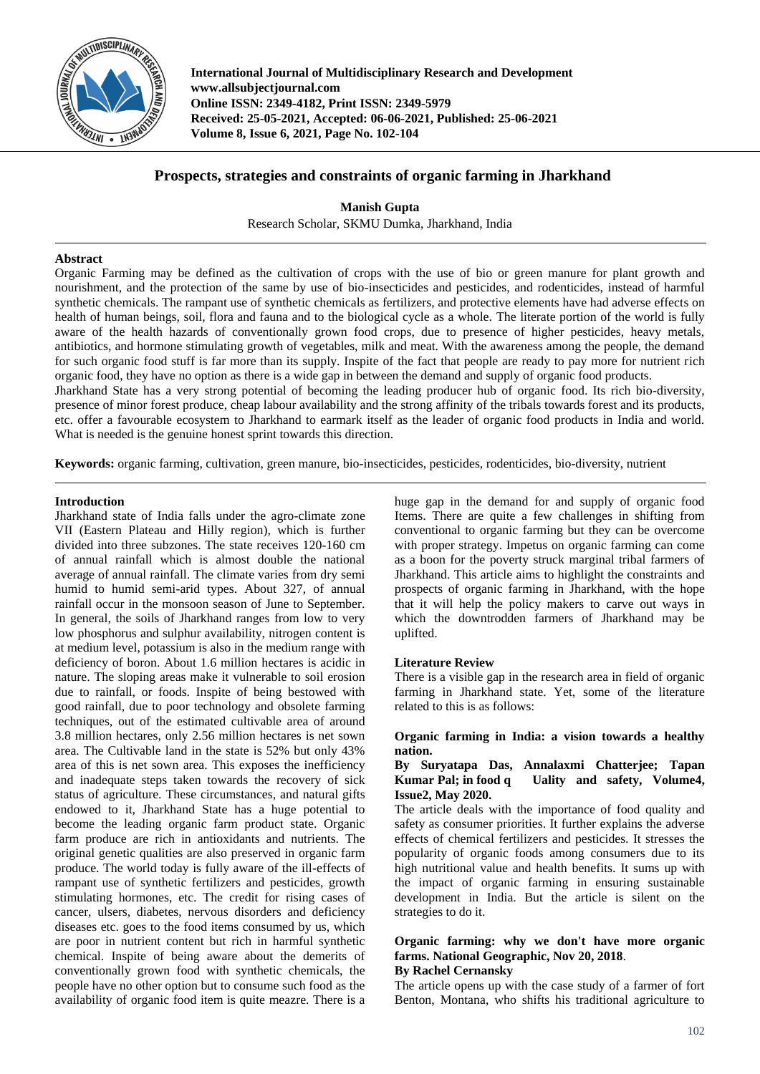

**International Journal of Multidisciplinary Research and Development www.allsubjectjournal.com Online ISSN: 2349-4182, Print ISSN: 2349-5979 Received: 25-05-2021, Accepted: 06-06-2021, Published: 25-06-2021 Volume 8, Issue 6, 2021, Page No. 102-104**

## **Prospects, strategies and constraints of organic farming in Jharkhand**

**Manish Gupta** Research Scholar, SKMU Dumka, Jharkhand, India

#### **Abstract**

Organic Farming may be defined as the cultivation of crops with the use of bio or green manure for plant growth and nourishment, and the protection of the same by use of bio-insecticides and pesticides, and rodenticides, instead of harmful synthetic chemicals. The rampant use of synthetic chemicals as fertilizers, and protective elements have had adverse effects on health of human beings, soil, flora and fauna and to the biological cycle as a whole. The literate portion of the world is fully aware of the health hazards of conventionally grown food crops, due to presence of higher pesticides, heavy metals, antibiotics, and hormone stimulating growth of vegetables, milk and meat. With the awareness among the people, the demand for such organic food stuff is far more than its supply. Inspite of the fact that people are ready to pay more for nutrient rich organic food, they have no option as there is a wide gap in between the demand and supply of organic food products. Jharkhand State has a very strong potential of becoming the leading producer hub of organic food. Its rich bio-diversity,

presence of minor forest produce, cheap labour availability and the strong affinity of the tribals towards forest and its products, etc. offer a favourable ecosystem to Jharkhand to earmark itself as the leader of organic food products in India and world. What is needed is the genuine honest sprint towards this direction.

**Keywords:** organic farming, cultivation, green manure, bio-insecticides, pesticides, rodenticides, bio-diversity, nutrient

#### **Introduction**

Jharkhand state of India falls under the agro-climate zone VII (Eastern Plateau and Hilly region), which is further divided into three subzones. The state receives 120-160 cm of annual rainfall which is almost double the national average of annual rainfall. The climate varies from dry semi humid to humid semi-arid types. About 327, of annual rainfall occur in the monsoon season of June to September. In general, the soils of Jharkhand ranges from low to very low phosphorus and sulphur availability, nitrogen content is at medium level, potassium is also in the medium range with deficiency of boron. About 1.6 million hectares is acidic in nature. The sloping areas make it vulnerable to soil erosion due to rainfall, or foods. Inspite of being bestowed with good rainfall, due to poor technology and obsolete farming techniques, out of the estimated cultivable area of around 3.8 million hectares, only 2.56 million hectares is net sown area. The Cultivable land in the state is 52% but only 43% area of this is net sown area. This exposes the inefficiency and inadequate steps taken towards the recovery of sick status of agriculture. These circumstances, and natural gifts endowed to it, Jharkhand State has a huge potential to become the leading organic farm product state. Organic farm produce are rich in antioxidants and nutrients. The original genetic qualities are also preserved in organic farm produce. The world today is fully aware of the ill-effects of rampant use of synthetic fertilizers and pesticides, growth stimulating hormones, etc. The credit for rising cases of cancer, ulsers, diabetes, nervous disorders and deficiency diseases etc. goes to the food items consumed by us, which are poor in nutrient content but rich in harmful synthetic chemical. Inspite of being aware about the demerits of conventionally grown food with synthetic chemicals, the people have no other option but to consume such food as the availability of organic food item is quite meazre. There is a huge gap in the demand for and supply of organic food Items. There are quite a few challenges in shifting from conventional to organic farming but they can be overcome with proper strategy. Impetus on organic farming can come as a boon for the poverty struck marginal tribal farmers of Jharkhand. This article aims to highlight the constraints and prospects of organic farming in Jharkhand, with the hope that it will help the policy makers to carve out ways in which the downtrodden farmers of Jharkhand may be uplifted.

#### **Literature Review**

There is a visible gap in the research area in field of organic farming in Jharkhand state. Yet, some of the literature related to this is as follows:

#### **Organic farming in India: a vision towards a healthy nation.**

#### **By Suryatapa Das, Annalaxmi Chatterjee; Tapan Kumar Pal; in food q Uality and safety, Volume4, Issue2, May 2020.**

The article deals with the importance of food quality and safety as consumer priorities. It further explains the adverse effects of chemical fertilizers and pesticides. It stresses the popularity of organic foods among consumers due to its high nutritional value and health benefits. It sums up with the impact of organic farming in ensuring sustainable development in India. But the article is silent on the strategies to do it.

# **Organic farming: why we don't have more organic farms. National Geographic, Nov 20, 2018**.

## **By Rachel Cernansky**

The article opens up with the case study of a farmer of fort Benton, Montana, who shifts his traditional agriculture to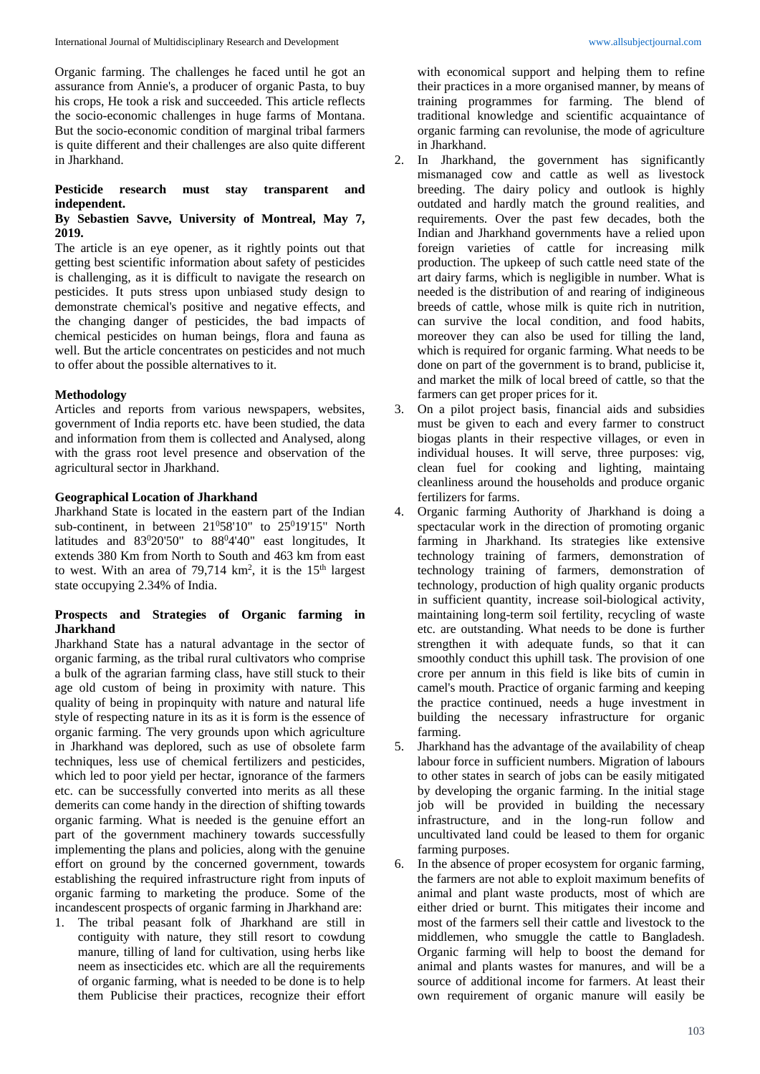Organic farming. The challenges he faced until he got an assurance from Annie's, a producer of organic Pasta, to buy his crops, He took a risk and succeeded. This article reflects the socio-economic challenges in huge farms of Montana. But the socio-economic condition of marginal tribal farmers is quite different and their challenges are also quite different in Jharkhand.

#### **Pesticide research must stay transparent and independent.**

#### **By Sebastien Savve, University of Montreal, May 7, 2019.**

The article is an eye opener, as it rightly points out that getting best scientific information about safety of pesticides is challenging, as it is difficult to navigate the research on pesticides. It puts stress upon unbiased study design to demonstrate chemical's positive and negative effects, and the changing danger of pesticides, the bad impacts of chemical pesticides on human beings, flora and fauna as well. But the article concentrates on pesticides and not much to offer about the possible alternatives to it.

#### **Methodology**

Articles and reports from various newspapers, websites, government of India reports etc. have been studied, the data and information from them is collected and Analysed, along with the grass root level presence and observation of the agricultural sector in Jharkhand.

#### **Geographical Location of Jharkhand**

Jharkhand State is located in the eastern part of the Indian sub-continent, in between  $21^058'10''$  to  $25^019'15''$  North latitudes and  $83^020'50''$  to  $88^04'40''$  east longitudes. It extends 380 Km from North to South and 463 km from east to west. With an area of  $79,714 \text{ km}^2$ , it is the  $15^{\text{th}}$  largest state occupying 2.34% of India.

#### **Prospects and Strategies of Organic farming in Jharkhand**

Jharkhand State has a natural advantage in the sector of organic farming, as the tribal rural cultivators who comprise a bulk of the agrarian farming class, have still stuck to their age old custom of being in proximity with nature. This quality of being in propinquity with nature and natural life style of respecting nature in its as it is form is the essence of organic farming. The very grounds upon which agriculture in Jharkhand was deplored, such as use of obsolete farm techniques, less use of chemical fertilizers and pesticides, which led to poor yield per hectar, ignorance of the farmers etc. can be successfully converted into merits as all these demerits can come handy in the direction of shifting towards organic farming. What is needed is the genuine effort an part of the government machinery towards successfully implementing the plans and policies, along with the genuine effort on ground by the concerned government, towards establishing the required infrastructure right from inputs of organic farming to marketing the produce. Some of the incandescent prospects of organic farming in Jharkhand are:

1. The tribal peasant folk of Jharkhand are still in contiguity with nature, they still resort to cowdung manure, tilling of land for cultivation, using herbs like neem as insecticides etc. which are all the requirements of organic farming, what is needed to be done is to help them Publicise their practices, recognize their effort

with economical support and helping them to refine their practices in a more organised manner, by means of training programmes for farming. The blend of traditional knowledge and scientific acquaintance of organic farming can revolunise, the mode of agriculture in Jharkhand.

- 2. In Jharkhand, the government has significantly mismanaged cow and cattle as well as livestock breeding. The dairy policy and outlook is highly outdated and hardly match the ground realities, and requirements. Over the past few decades, both the Indian and Jharkhand governments have a relied upon foreign varieties of cattle for increasing milk production. The upkeep of such cattle need state of the art dairy farms, which is negligible in number. What is needed is the distribution of and rearing of indigineous breeds of cattle, whose milk is quite rich in nutrition, can survive the local condition, and food habits, moreover they can also be used for tilling the land, which is required for organic farming. What needs to be done on part of the government is to brand, publicise it, and market the milk of local breed of cattle, so that the farmers can get proper prices for it.
- 3. On a pilot project basis, financial aids and subsidies must be given to each and every farmer to construct biogas plants in their respective villages, or even in individual houses. It will serve, three purposes: vig, clean fuel for cooking and lighting, maintaing cleanliness around the households and produce organic fertilizers for farms.
- 4. Organic farming Authority of Jharkhand is doing a spectacular work in the direction of promoting organic farming in Jharkhand. Its strategies like extensive technology training of farmers, demonstration of technology training of farmers, demonstration of technology, production of high quality organic products in sufficient quantity, increase soil-biological activity, maintaining long-term soil fertility, recycling of waste etc. are outstanding. What needs to be done is further strengthen it with adequate funds, so that it can smoothly conduct this uphill task. The provision of one crore per annum in this field is like bits of cumin in camel's mouth. Practice of organic farming and keeping the practice continued, needs a huge investment in building the necessary infrastructure for organic farming.
- 5. Jharkhand has the advantage of the availability of cheap labour force in sufficient numbers. Migration of labours to other states in search of jobs can be easily mitigated by developing the organic farming. In the initial stage job will be provided in building the necessary infrastructure, and in the long-run follow and uncultivated land could be leased to them for organic farming purposes.
- 6. In the absence of proper ecosystem for organic farming, the farmers are not able to exploit maximum benefits of animal and plant waste products, most of which are either dried or burnt. This mitigates their income and most of the farmers sell their cattle and livestock to the middlemen, who smuggle the cattle to Bangladesh. Organic farming will help to boost the demand for animal and plants wastes for manures, and will be a source of additional income for farmers. At least their own requirement of organic manure will easily be